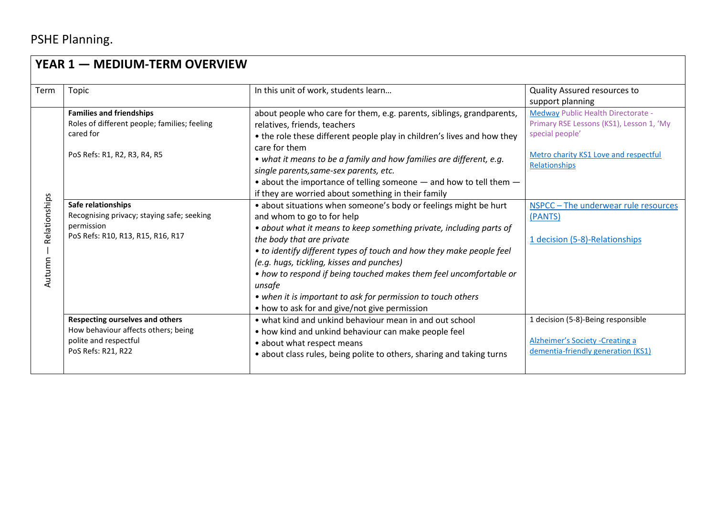## PSHE Planning.

| YEAR 1 - MEDIUM-TERM OVERVIEW |                                                                                               |                                                                         |                                                        |  |  |  |
|-------------------------------|-----------------------------------------------------------------------------------------------|-------------------------------------------------------------------------|--------------------------------------------------------|--|--|--|
| Term                          | Topic                                                                                         | In this unit of work, students learn                                    | Quality Assured resources to                           |  |  |  |
|                               |                                                                                               |                                                                         | support planning                                       |  |  |  |
|                               | <b>Families and friendships</b><br>Roles of different people; families; feeling<br>cared for  | about people who care for them, e.g. parents, siblings, grandparents,   | <b>Medway Public Health Directorate -</b>              |  |  |  |
|                               |                                                                                               | relatives, friends, teachers                                            | Primary RSE Lessons (KS1), Lesson 1, 'My               |  |  |  |
|                               |                                                                                               | • the role these different people play in children's lives and how they | special people'                                        |  |  |  |
|                               | PoS Refs: R1, R2, R3, R4, R5                                                                  | care for them                                                           |                                                        |  |  |  |
|                               |                                                                                               | • what it means to be a family and how families are different, e.g.     | Metro charity KS1 Love and respectful<br>Relationships |  |  |  |
|                               |                                                                                               | single parents, same-sex parents, etc.                                  |                                                        |  |  |  |
|                               |                                                                                               | • about the importance of telling someone $-$ and how to tell them $-$  |                                                        |  |  |  |
|                               |                                                                                               | if they are worried about something in their family                     |                                                        |  |  |  |
| Relationships                 | Safe relationships                                                                            | • about situations when someone's body or feelings might be hurt        | NSPCC - The underwear rule resources                   |  |  |  |
|                               | Recognising privacy; staying safe; seeking<br>permission<br>PoS Refs: R10, R13, R15, R16, R17 | and whom to go to for help                                              | (PANTS)                                                |  |  |  |
|                               |                                                                                               | • about what it means to keep something private, including parts of     |                                                        |  |  |  |
|                               |                                                                                               | the body that are private                                               | 1 decision (5-8)-Relationships                         |  |  |  |
|                               |                                                                                               | • to identify different types of touch and how they make people feel    |                                                        |  |  |  |
| Autumn                        |                                                                                               | (e.g. hugs, tickling, kisses and punches)                               |                                                        |  |  |  |
|                               |                                                                                               | • how to respond if being touched makes them feel uncomfortable or      |                                                        |  |  |  |
|                               |                                                                                               | unsafe                                                                  |                                                        |  |  |  |
|                               |                                                                                               | • when it is important to ask for permission to touch others            |                                                        |  |  |  |
|                               |                                                                                               | • how to ask for and give/not give permission                           |                                                        |  |  |  |
|                               | <b>Respecting ourselves and others</b>                                                        | • what kind and unkind behaviour mean in and out school                 | 1 decision (5-8)-Being responsible                     |  |  |  |
|                               | How behaviour affects others; being<br>polite and respectful<br>PoS Refs: R21, R22            | • how kind and unkind behaviour can make people feel                    |                                                        |  |  |  |
|                               |                                                                                               | • about what respect means                                              | Alzheimer's Society - Creating a                       |  |  |  |
|                               |                                                                                               | • about class rules, being polite to others, sharing and taking turns   | dementia-friendly generation (KS1)                     |  |  |  |
|                               |                                                                                               |                                                                         |                                                        |  |  |  |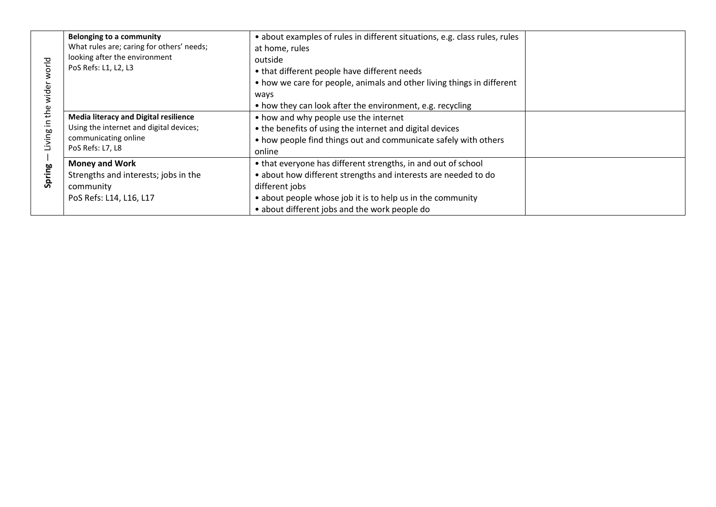| orld<br>≘.<br>Living i<br>Spring | <b>Belonging to a community</b><br>What rules are; caring for others' needs;<br>looking after the environment<br>PoS Refs: L1, L2, L3 | • about examples of rules in different situations, e.g. class rules, rules<br>at home, rules<br>outside<br>• that different people have different needs<br>• how we care for people, animals and other living things in different<br>ways                        |  |
|----------------------------------|---------------------------------------------------------------------------------------------------------------------------------------|------------------------------------------------------------------------------------------------------------------------------------------------------------------------------------------------------------------------------------------------------------------|--|
|                                  | <b>Media literacy and Digital resilience</b><br>Using the internet and digital devices;<br>communicating online<br>PoS Refs: L7, L8   | • how they can look after the environment, e.g. recycling<br>• how and why people use the internet<br>• the benefits of using the internet and digital devices<br>• how people find things out and communicate safely with others<br>online                      |  |
|                                  | <b>Money and Work</b><br>Strengths and interests; jobs in the<br>community<br>PoS Refs: L14, L16, L17                                 | • that everyone has different strengths, in and out of school<br>• about how different strengths and interests are needed to do<br>different jobs<br>• about people whose job it is to help us in the community<br>• about different jobs and the work people do |  |